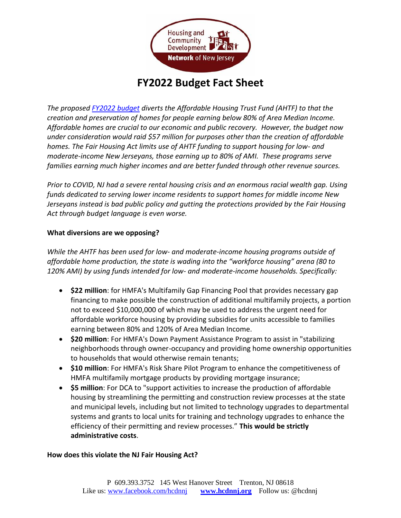

## **FY2022 Budget Fact Sheet**

*The proposed [FY2022 budget](https://www.nj.gov/treasury/omb/publications/22bib/BIB.pdf) diverts the Affordable Housing Trust Fund (AHTF) to that the creation and preservation of homes for people earning below 80% of Area Median Income. Affordable homes are crucial to our economic and public recovery. However, the budget now under consideration would raid \$57 million for purposes other than the creation of affordable homes. The Fair Housing Act limits use of AHTF funding to support housing for low- and moderate-income New Jerseyans, those earning up to 80% of AMI. These programs serve families earning much higher incomes and are better funded through other revenue sources.* 

*Prior to COVID, NJ had a severe rental housing crisis and an enormous racial wealth gap. Using funds dedicated to serving lower income residents to support homes for middle income New Jerseyans instead is bad public policy and gutting the protections provided by the Fair Housing Act through budget language is even worse.* 

## **What diversions are we opposing?**

*While the AHTF has been used for low- and moderate-income housing programs outside of affordable home production, the state is wading into the "workforce housing" arena (80 to 120% AMI) by using funds intended for low- and moderate-income households. Specifically:*

- **\$22 million**: for HMFA's Multifamily Gap Financing Pool that provides necessary gap financing to make possible the construction of additional multifamily projects, a portion not to exceed \$10,000,000 of which may be used to address the urgent need for affordable workforce housing by providing subsidies for units accessible to families earning between 80% and 120% of Area Median Income.
- **\$20 million**: For HMFA's Down Payment Assistance Program to assist in "stabilizing neighborhoods through owner-occupancy and providing home ownership opportunities to households that would otherwise remain tenants;
- **\$10 million**: For HMFA's Risk Share Pilot Program to enhance the competitiveness of HMFA multifamily mortgage products by providing mortgage insurance;
- **\$5 million**: For DCA to "support activities to increase the production of affordable housing by streamlining the permitting and construction review processes at the state and municipal levels, including but not limited to technology upgrades to departmental systems and grants to local units for training and technology upgrades to enhance the efficiency of their permitting and review processes." **This would be strictly administrative costs**.

## **How does this violate the NJ Fair Housing Act?**